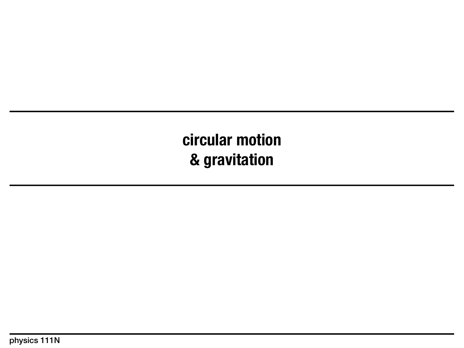**circular motion & gravitation**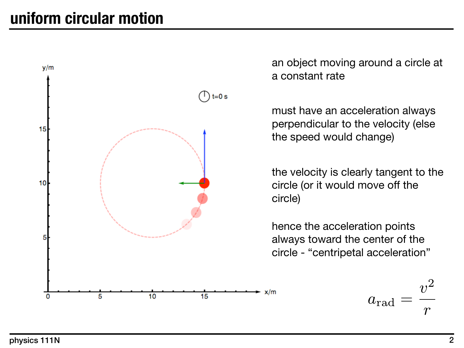

an object moving around a circle at a constant rate

must have an acceleration always perpendicular to the velocity (else the speed would change)

the velocity is clearly tangent to the circle (or it would move off the circle)

hence the acceleration points always toward the center of the circle - "centripetal acceleration"

$$
a_{\rm rad}=\frac{v^2}{r}
$$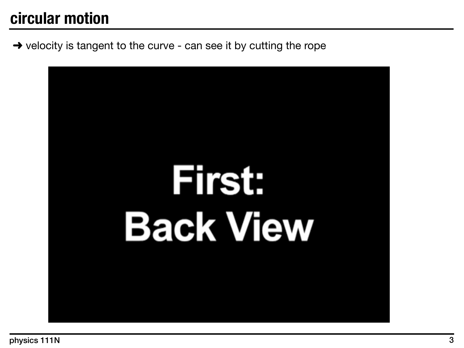#### **circular motion**

 $\rightarrow$  velocity is tangent to the curve - can see it by cutting the rope

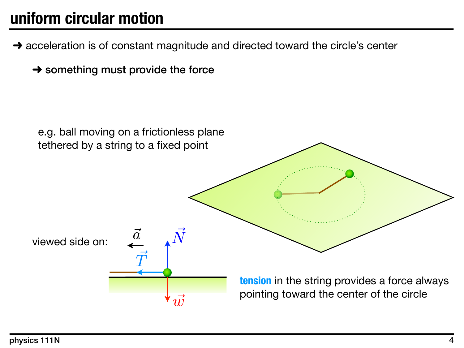# **uniform circular motion**

- $\rightarrow$  acceleration is of constant magnitude and directed toward the circle's center
	- $\rightarrow$  something must provide the force

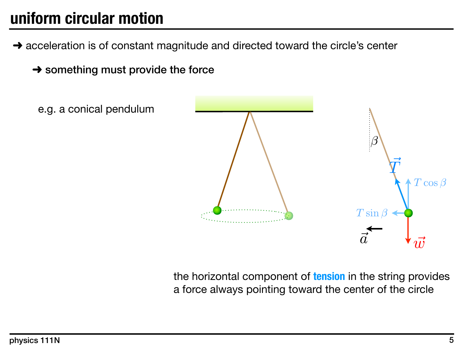# **uniform circular motion**

- $\rightarrow$  acceleration is of constant magnitude and directed toward the circle's center
	- $\rightarrow$  something must provide the force



the horizontal component of **tension** in the string provides a force always pointing toward the center of the circle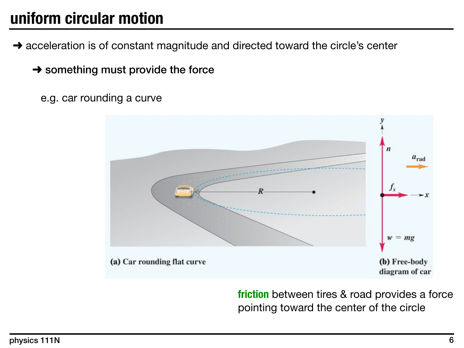## **uniform circular motion**

- $\rightarrow$  acceleration is of constant magnitude and directed toward the circle's center
	- $\rightarrow$  something must provide the force
		- e.g. car rounding a curve



**friction** between tires & road provides a force pointing toward the center of the circle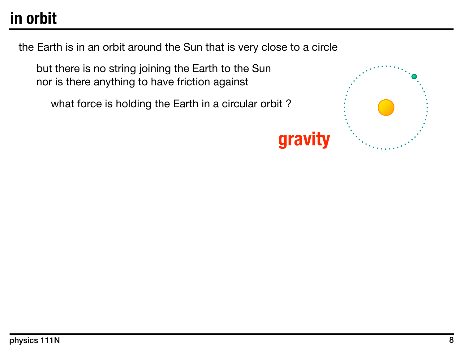# **in orbit**

the Earth is in an orbit around the Sun that is very close to a circle

but there is no string joining the Earth to the Sun nor is there anything to have friction against

what force is holding the Earth in a circular orbit?



# **gravity**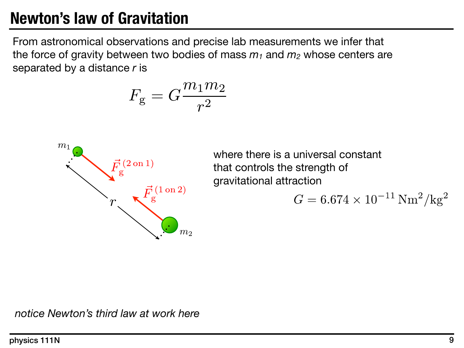## **Newton's law of Gravitation**

From astronomical observations and precise lab measurements we infer that the force of gravity between two bodies of mass  $m_1$  and  $m_2$  whose centers are separated by a distance *r* is

$$
F_{\rm g}=G\frac{m_1m_2}{r^2}
$$



where there is a universal constant that controls the strength of gravitational attraction

$$
G = 6.674 \times 10^{-11} \,\mathrm{Nm}^2/\mathrm{kg}^2
$$

*notice Newton's third law at work here*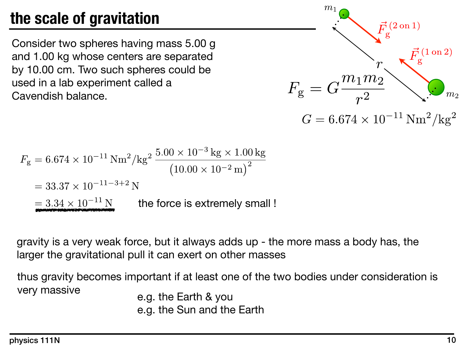# **the scale of gravitation**

Consider two spheres having mass 5.00 g and 1.00 kg whose centers are separated by 10.00 cm. Two such spheres could be used in a lab experiment called a Cavendish balance.



$$
F_{\rm g} = 6.674 \times 10^{-11} \,\text{Nm}^2/\text{kg}^2 \frac{5.00 \times 10^{-3} \,\text{kg} \times 1.00 \,\text{kg}}{(10.00 \times 10^{-2} \,\text{m})^2}
$$
  
= 33.37 × 10<sup>-11-3+2</sup> N  
= 3.34 × 10<sup>-11</sup> N the force is extremely small !

gravity is a very weak force, but it always adds up - the more mass a body has, the larger the gravitational pull it can exert on other masses

thus gravity becomes important if at least one of the two bodies under consideration is very massive e.g. the Earth & you

e.g. the Sun and the Earth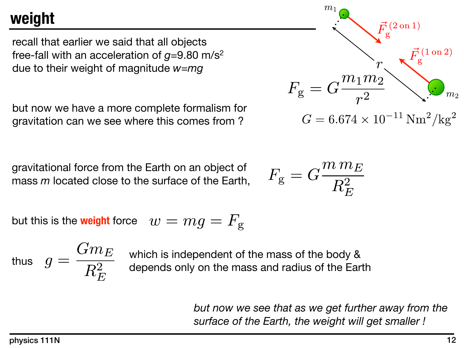## **weight**

recall that earlier we said that all objects free-fall with an acceleration of  $g=9.80$  m/s<sup>2</sup> due to their weight of magnitude *w*=*mg*

but now we have a more complete formalism for gravitation can we see where this comes from ?

gravitational force from the Earth on an object of mass *m* located close to the surface of the Earth,

but this is the **weight** force 
$$
w = mg = F_g
$$

thus  $g = \frac{G \cdot U E}{D^2}$  which is independent of the mass of the body & depends only on the mass and radius of the Earth

$$
F_{\rm g} = G \frac{m_1 m_2}{r^2} \sum_{m_2} \vec{F}_{\rm g}^{(2 \text{ on } 1)}
$$

$$
G = 6.674 \times 10^{-11} \text{ Nm}^2/\text{kg}^2
$$

$$
F_{\rm g}=G\frac{m\,m_E}{R_E^2}
$$

$$
Gm_E
$$
 which is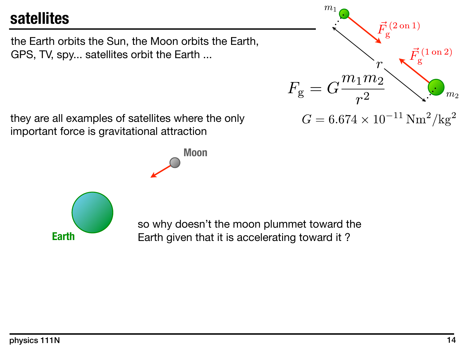#### **satellites**

the Earth orbits the Sun, the Moon orbits the Earth, GPS, TV, spy... satellites orbit the Earth ...

they are all examples of satellites where the only important force is gravitational attraction

**Moon**

**Earth**

so why doesn't the moon plummet toward the Earth given that it is accelerating toward it ?



 $G=6.674\times 10^{-11}\,\mathrm{Nm^2/kg^2}$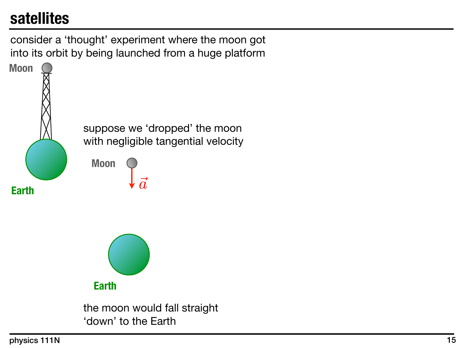## **satellites**

consider a 'thought' experiment where the moon got into its orbit by being launched from a huge platform

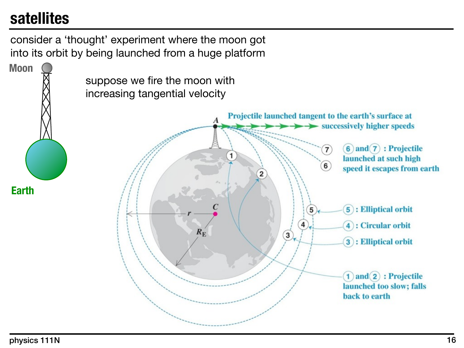## **satellites**

consider a 'thought' experiment where the moon got into its orbit by being launched from a huge platform

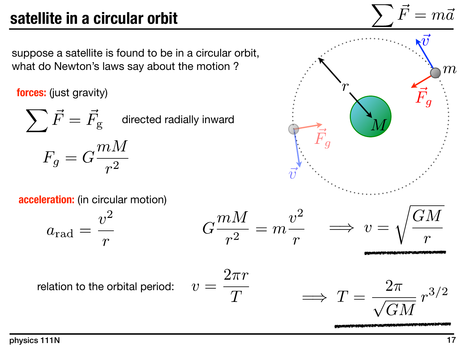# **satellite in a circular orbit**

suppose a satellite is found to be in a circular orbit, what do Newton's laws say about the motion ?

**forces:** (just gravity)

 $\sum \vec{F} = \vec{F}_{\mathrm{g}}$  directed radially inward  $F_g = G \frac{mM}{r^2}$ 

**acceleration:** (in circular motion)

$$
a_{\rm rad} = \frac{v^2}{r} \qquad \qquad G \frac{mM}{r^2} = m \frac{v^2}{r} \qquad \Longrightarrow \qquad v = \sqrt{\frac{GM}{r}}
$$

relation to the orbital period:

$$
v = \frac{2\pi r}{T} \qquad \Longrightarrow \ T = \frac{2\pi}{\sqrt{GM}} r^{3/2}
$$

 $\Omega$